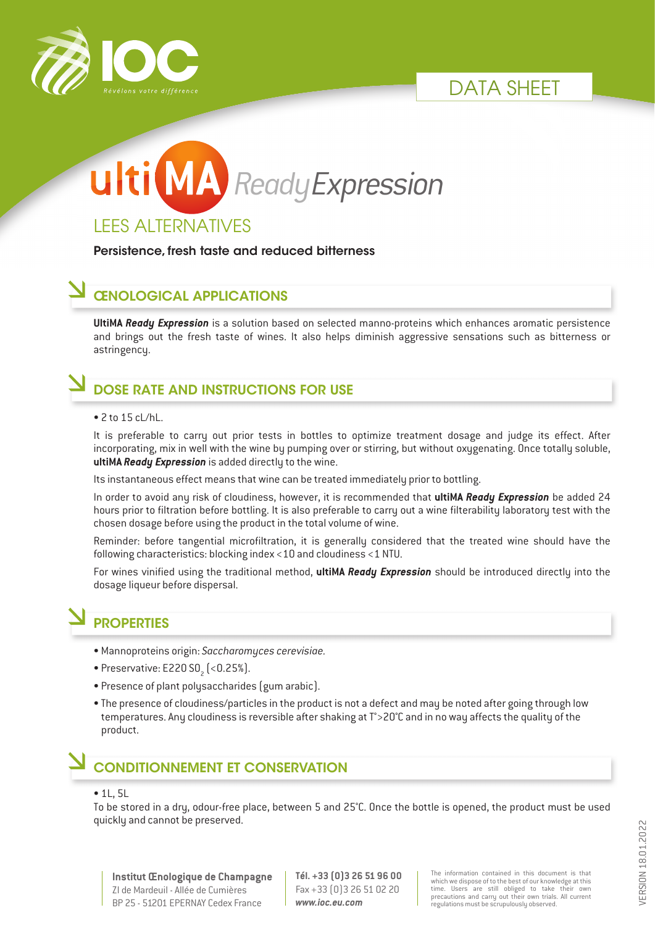





Persistence, fresh taste and reduced bitterness

#### ŒNOLOGICAL APPLICATIONS

**UltiMA** *Ready Expression* is a solution based on selected manno-proteins which enhances aromatic persistence and brings out the fresh taste of wines. It also helps diminish aggressive sensations such as bitterness or astringency.

# DOSE RATE AND INSTRUCTIONS FOR USE

#### • 2 to 15 cL/hL.

It is preferable to carry out prior tests in bottles to optimize treatment dosage and judge its effect. After incorporating, mix in well with the wine by pumping over or stirring, but without oxygenating. Once totally soluble, **ultiMA** *Ready Expression* is added directly to the wine.

Its instantaneous effect means that wine can be treated immediately prior to bottling.

In order to avoid any risk of cloudiness, however, it is recommended that **ultiMA** *Ready Expression* be added 24 hours prior to filtration before bottling. It is also preferable to carry out a wine filterability laboratory test with the chosen dosage before using the product in the total volume of wine.

Reminder: before tangential microfiltration, it is generally considered that the treated wine should have the following characteristics: blocking index <10 and cloudiness <1 NTU.

For wines vinified using the traditional method, **ultiMA** *Ready Expression* should be introduced directly into the dosage liqueur before dispersal.

## **PROPERTIES**

- Mannoproteins origin: *Saccharomyces cerevisiae.*
- $\bullet$  Preservative: E220 S0 $_{_2}$  (<0.25%).
- Presence of plant polysaccharides (gum arabic).
- The presence of cloudiness/particles in the product is not a defect and may be noted after going through low temperatures. Any cloudiness is reversible after shaking at T°>20°C and in no way affects the quality of the product.

## CONDITIONNEMENT ET CONSERVATION

#### • 1L, 5L

To be stored in a dry, odour-free place, between 5 and 25°C. Once the bottle is opened, the product must be used quickly and cannot be preserved.

**Institut Œnologique de Champagne** ZI de Mardeuil - Allée de Cumières BP 25 - 51201 EPERNAY Cedex France

**Tél. +33 (0)3 26 51 96 00** Fax +33 (0)3 26 51 02 20 *www.ioc.eu.com*

The information contained in this document is that which we dispose of to the best of our knowledge at this time. Users are still obliged to take their own precautions and carry out their own trials. All current regulations must be scrupulously observed.